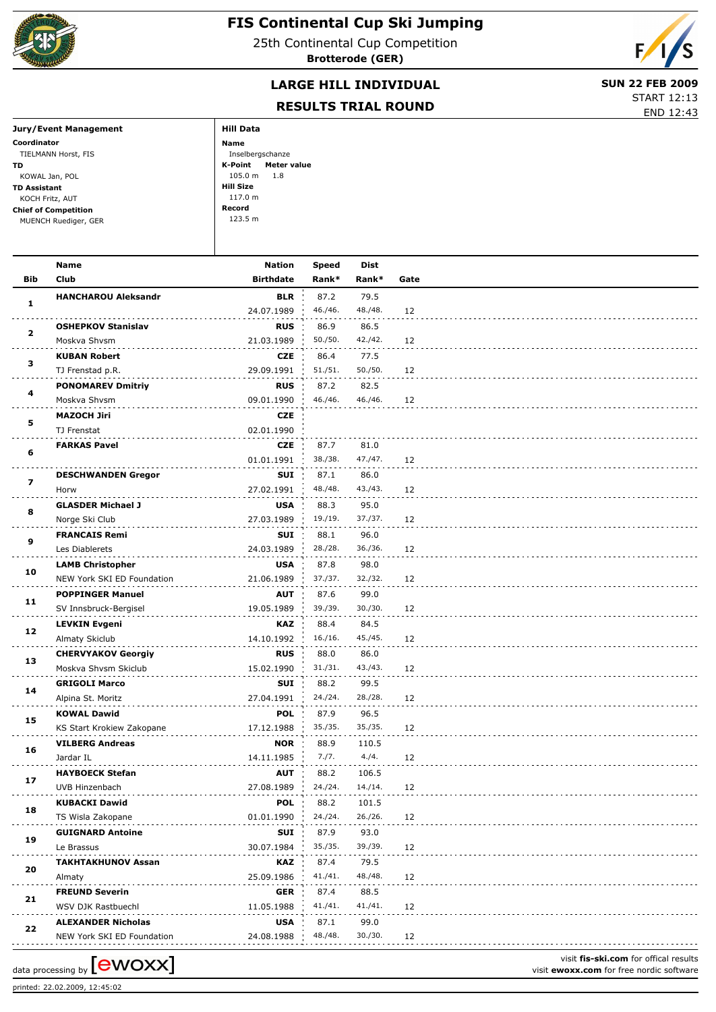

## **FIS Continental Cup Ski Jumping**

25th Continental Cup Competition **Brotterode (GER)**



## **LARGE HILL INDIVIDUAL** SUN 22 FEB 2009

START 12:13

## **RESULTS TRIAL ROUND**

|                             | RESULTS TRIAL RUUND    | END 12:43 |  |  |
|-----------------------------|------------------------|-----------|--|--|
| Jury/Event Management       | <b>Hill Data</b>       |           |  |  |
| Coordinator                 | Name                   |           |  |  |
| TIELMANN Horst, FIS         | Inselbergschanze       |           |  |  |
| TD.                         | K-Point<br>Meter value |           |  |  |
| KOWAL Jan, POL              | 105.0 m<br>1.8         |           |  |  |
| TD Assistant                | Hill Size              |           |  |  |
| KOCH Fritz, AUT             | 117.0 m                |           |  |  |
| <b>Chief of Competition</b> | Record                 |           |  |  |
| MUENCH Ruediger, GER        | 123.5 m                |           |  |  |
|                             |                        |           |  |  |

|                         | <b>Name</b>                                             | <b>Nation</b>            | Speed   | Dist            |      |                                          |
|-------------------------|---------------------------------------------------------|--------------------------|---------|-----------------|------|------------------------------------------|
| <b>Bib</b>              | Club                                                    | <b>Birthdate</b>         | Rank*   | Rank*           | Gate |                                          |
|                         | <b>HANCHAROU Aleksandr</b>                              | <b>BLR</b>               | 87.2    | 79.5            |      |                                          |
| 1                       |                                                         | 24.07.1989               | 46./46. | 48./48.         | 12   |                                          |
|                         | <b>OSHEPKOV Stanislav</b>                               | <b>RUS</b>               | 86.9    | 86.5            |      |                                          |
| $\mathbf{2}$            | Moskva Shvsm                                            | 21.03.1989               | 50./50. | 42./42.         | 12   |                                          |
|                         | <b>KUBAN Robert</b>                                     | <b>CZE</b>               | 86.4    | 77.5            |      |                                          |
| з                       | TJ Frenstad p.R.                                        | 29.09.1991               | 51./51. | 50./50.         | 12   |                                          |
|                         | <b>PONOMAREV Dmitriy</b>                                | <b>RUS</b>               | 87.2    | 82.5            |      |                                          |
| 4                       | Moskva Shvsm                                            | 09.01.1990               | 46./46. | 46./46.         | 12   |                                          |
|                         | <b>MAZOCH Jiri</b>                                      | <b>CZE</b>               |         |                 |      |                                          |
| 5                       | TJ Frenstat                                             | 02.01.1990               |         |                 |      |                                          |
|                         | <b>FARKAS Pavel</b>                                     | <b>CZE</b>               | 87.7    | 81.0            |      |                                          |
| 6                       |                                                         | 01.01.1991               | 38./38. | 47./47.         | 12   |                                          |
|                         | <b>DESCHWANDEN Gregor</b>                               | <b>SUI</b>               | 87.1    | 86.0            |      |                                          |
| $\overline{\mathbf{z}}$ | Horw                                                    | 27.02.1991               | 48./48. | 43./43.         | 12   |                                          |
|                         | <b>GLASDER Michael J</b>                                | <b>USA</b>               | 88.3    | 95.0            |      |                                          |
| 8                       | Norge Ski Club                                          | 27.03.1989               | 19./19. | 37./37.         | 12   |                                          |
|                         | <b>FRANCAIS Remi</b>                                    | SUI                      | 88.1    | 96.0            |      |                                          |
| 9                       | Les Diablerets                                          | 24.03.1989               | 28./28. | 36./36.         | 12   |                                          |
|                         | <b>LAMB Christopher</b>                                 | <b>USA</b>               | 87.8    | 98.0            |      |                                          |
| 10                      | NEW York SKI ED Foundation                              | 21.06.1989               | 37./37. | 32./32.         | 12   |                                          |
|                         | <b>POPPINGER Manuel</b>                                 | <b>AUT</b>               | 87.6    | 99.0            |      |                                          |
| 11                      | SV Innsbruck-Bergisel                                   | 19.05.1989               | 39./39. | 30./30.         | 12   |                                          |
|                         | <b>LEVKIN Evgeni</b>                                    | KAZ                      | 88.4    | 84.5            |      |                                          |
| 12                      | Almaty Skiclub                                          | 14.10.1992               | 16./16. | 45./45.         | 12   |                                          |
|                         | <b>CHERVYAKOV Georgiy</b>                               | <b>RUS</b>               | 88.0    | 86.0            |      |                                          |
| 13                      | Moskva Shvsm Skiclub                                    | 15.02.1990               | 31./31. | 43./43.         | 12   |                                          |
|                         | <b>GRIGOLI Marco</b>                                    | SUI                      | 88.2    | 99.5            |      |                                          |
| 14                      | Alpina St. Moritz                                       | 27.04.1991               | 24./24. | 28./28.         | 12   |                                          |
|                         | <b>KOWAL Dawid</b>                                      | <b>POL</b>               | 87.9    | 96.5            |      |                                          |
| 15                      | KS Start Krokiew Zakopane                               | 17.12.1988               | 35./35. | 35./35.         | 12   |                                          |
|                         | <b>VILBERG Andreas</b>                                  | <b>NOR</b>               | 88.9    | 110.5           |      |                                          |
| 16                      | Jardar IL                                               | 14.11.1985               | 7./7.   | 4./4.           | 12   |                                          |
|                         | <b>HAYBOECK Stefan</b>                                  | <b>AUT</b>               | 88.2    | 106.5           |      |                                          |
| 17                      | UVB Hinzenbach                                          | 27.08.1989               | 24./24. | 14./14.         | 12   |                                          |
|                         | <b>KUBACKI Dawid</b>                                    | <b>POL</b>               | 88.2    | 101.5           |      |                                          |
| 18                      | TS Wisla Zakopane                                       | 01.01.1990               | 24./24. | 26./26.         | 12   |                                          |
|                         | <b>GUIGNARD Antoine</b>                                 | <b>SUI</b>               | 87.9    | 93.0            |      |                                          |
| 19                      | Le Brassus                                              | 30.07.1984               | 35./35. | 39./39.         | 12   |                                          |
|                         | <b>TAKHTAKHUNOV Assan</b>                               | KAZ                      | 87.4    | 79.5            |      |                                          |
| 20                      |                                                         | 25.09.1986               | 41./41. | 48./48.         | 12   |                                          |
|                         | Almaty                                                  |                          | 87.4    |                 |      |                                          |
| 21                      | <b>FREUND Severin</b><br>WSV DJK Rastbuechl             | GER<br>11.05.1988        | 41./41. | 88.5<br>41./41. | 12   |                                          |
|                         |                                                         |                          | 87.1    |                 |      |                                          |
| 22                      | <b>ALEXANDER Nicholas</b><br>NEW York SKI ED Foundation | <b>USA</b><br>24.08.1988 | 48./48. | 99.0<br>30./30. | 12   |                                          |
|                         |                                                         |                          |         |                 |      |                                          |
|                         | data processing by <b>[CWOXX]</b>                       |                          |         |                 |      | visit fis-ski.com for offical results    |
|                         |                                                         |                          |         |                 |      | visit ewoxx.com for free nordic software |

printed: 22.02.2009, 12:45:02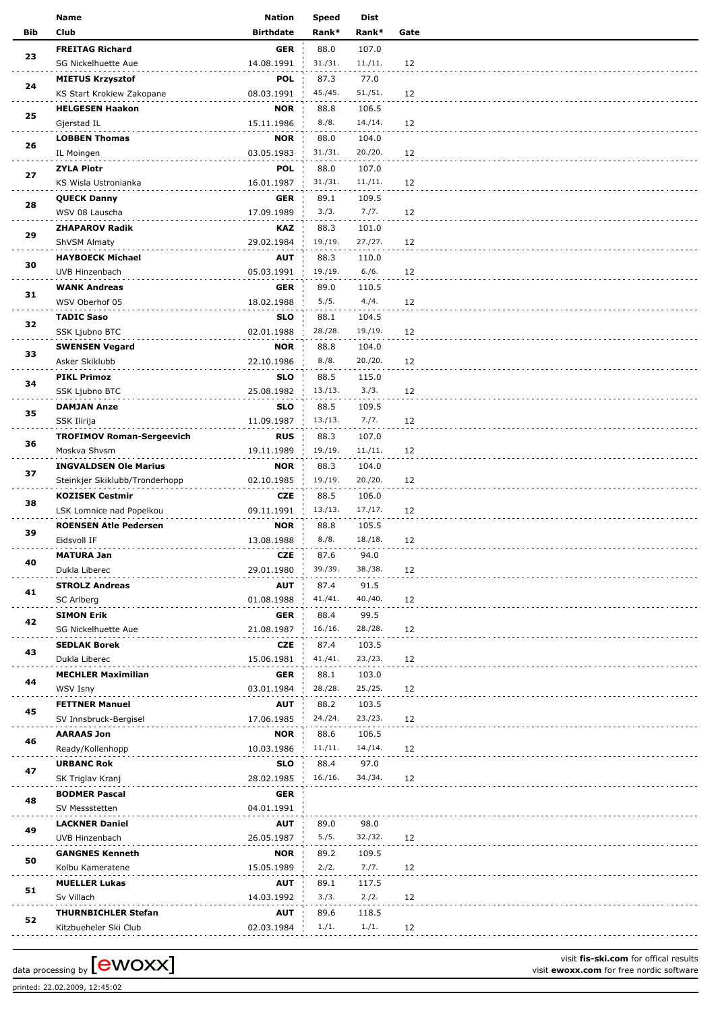|            | Name                                  | <b>Nation</b>    | <b>Speed</b> | Dist           |      |
|------------|---------------------------------------|------------------|--------------|----------------|------|
| <b>Bib</b> | <b>Club</b>                           | <b>Birthdate</b> | Rank*        | Rank*          | Gate |
|            | <b>FREITAG Richard</b>                | GER              | 88.0         | 107.0          |      |
| 23         | SG Nickelhuette Aue                   | 14.08.1991       | 31./31.      | 11./11.        | 12   |
|            | <b>MIETUS Krzysztof</b>               | <b>POL</b>       | 87.3         | 77.0           |      |
| 24         |                                       | 08.03.1991       | 45./45.      | 51./51.        | 12   |
|            | KS Start Krokiew Zakopane             |                  |              |                |      |
| 25         | <b>HELGESEN Haakon</b>                | <b>NOR</b>       | 88.8         | 106.5          |      |
|            | Gjerstad IL                           | 15.11.1986       | 8./8.        | 14./14.        | 12   |
| 26         | <b>LOBBEN Thomas</b>                  | <b>NOR</b>       | 88.0         | 104.0          |      |
|            | IL Moingen                            | 03.05.1983       | 31./31.      | 20./20.        | 12   |
| 27         | <b>ZYLA Piotr</b>                     | <b>POL</b>       | 88.0         | 107.0          |      |
|            | KS Wisla Ustronianka                  | 16.01.1987       | 31./31.      | 11./11.        | 12   |
|            | <b>QUECK Danny</b>                    | <b>GER</b>       | 89.1         | 109.5          |      |
| 28         | WSV 08 Lauscha                        | 17.09.1989       | 3./3.        | 7./7.          | 12   |
|            | <b>ZHAPAROV Radik</b>                 | KAZ              | 88.3         | 101.0          |      |
| 29         | ShVSM Almaty                          | 29.02.1984       | 19./19.      | 27./27.        | 12   |
|            | <b>HAYBOECK Michael</b>               | <b>AUT</b>       | 88.3         | 110.0          |      |
| 30         | UVB Hinzenbach                        | 05.03.1991       | 19./19.      | 6./6.          | 12   |
|            |                                       | <b>GER</b>       | 89.0         |                |      |
| 31         | <b>WANK Andreas</b><br>WSV Oberhof 05 |                  | 5./5.        | 110.5<br>4./4. |      |
|            |                                       | 18.02.1988       |              |                | 12   |
| 32         | <b>TADIC Saso</b>                     | <b>SLO</b>       | 88.1         | 104.5          |      |
|            | SSK Ljubno BTC                        | 02.01.1988       | 28./28.      | 19./19.        | 12   |
| 33         | <b>SWENSEN Vegard</b>                 | <b>NOR</b>       | 88.8         | 104.0          |      |
|            | Asker Skiklubb                        | 22.10.1986       | 8./8.        | 20./20.        | 12   |
| 34         | <b>PIKL Primoz</b>                    | <b>SLO</b>       | 88.5         | 115.0          |      |
|            | SSK Ljubno BTC                        | 25.08.1982       | 13./13.      | 3./3.          | 12   |
|            | <b>DAMJAN Anze</b>                    | <b>SLO</b>       | 88.5         | 109.5          |      |
| 35         | SSK Ilirija                           | 11.09.1987       | 13./13.      | 7./7.          | 12   |
|            | <b>TROFIMOV Roman-Sergeevich</b>      | <b>RUS</b>       | 88.3         | 107.0          |      |
| 36         | Moskva Shvsm                          | 19.11.1989       | 19./19.      | 11./11.        | 12   |
|            | <b>INGVALDSEN Ole Marius</b>          | <b>NOR</b>       | 88.3         | 104.0          |      |
| 37         | Steinkjer Skiklubb/Tronderhopp        | 02.10.1985       | 19./19.      | 20./20.        | 12   |
|            |                                       |                  |              |                |      |
| 38         | <b>KOZISEK Cestmir</b>                | <b>CZE</b>       | 88.5         | 106.0          |      |
|            | LSK Lomnice nad Popelkou              | 09.11.1991       | 13./13.      | 17./17.        | 12   |
| 39         | <b>ROENSEN Atle Pedersen</b>          | <b>NOR</b>       | 88.8         | 105.5          |      |
|            | Eidsvoll IF                           | 13.08.1988       | 8./8.        | 18./18.        | 12   |
| 40         | <b>MATURA Jan</b>                     | CZE              | 87.6         | 94.0           |      |
|            | Dukla Liberec                         | 29.01.1980       | 39./39.      | 38./38.        | 12   |
| 41         | <b>STROLZ Andreas</b>                 | <b>AUT</b>       | 87.4         | 91.5           |      |
|            | SC Arlberg                            | 01.08.1988       | 41./41.      | 40./40.        | 12   |
|            | <b>SIMON Erik</b>                     | <b>GER</b>       | 88.4         | 99.5           |      |
| 42         | SG Nickelhuette Aue                   | 21.08.1987       | 16./16.      | 28./28.        | 12   |
|            | <b>SEDLAK Borek</b>                   | CZE              | 87.4         | 103.5          |      |
| 43         | Dukla Liberec                         | 15.06.1981       | 41./41.      | 23./23.        | 12   |
|            | <b>MECHLER Maximilian</b>             | <b>GER</b>       | 88.1         | 103.0          |      |
| 44         | WSV Isny                              | 03.01.1984       | 28./28.      | 25./25.        | 12   |
|            |                                       |                  |              |                |      |
| 45         | <b>FETTNER Manuel</b>                 | <b>AUT</b>       | 88.2         | 103.5          |      |
|            | SV Innsbruck-Bergisel                 | 17.06.1985       | 24./24.      | 23./23.        | 12   |
| 46         | <b>AARAAS Jon</b>                     | <b>NOR</b>       | 88.6         | 106.5          |      |
|            | Ready/Kollenhopp                      | 10.03.1986       | 11./11.      | 14./14.        | 12   |
| 47         | <b>URBANC Rok</b>                     | <b>SLO</b>       | 88.4         | 97.0           |      |
|            | SK Triglav Kranj                      | 28.02.1985       | 16./16.      | 34./34.        | 12   |
|            | <b>BODMER Pascal</b>                  | <b>GER</b>       |              |                |      |
| 48         | SV Messstetten                        | 04.01.1991       |              |                |      |
|            | <b>LACKNER Daniel</b>                 | <b>AUT</b>       | 89.0         | 98.0           |      |
| 49         | UVB Hinzenbach                        | 26.05.1987       | 5./5.        | 32./32.        | 12   |
|            | <b>GANGNES Kenneth</b>                | <b>NOR</b>       | 89.2         | 109.5          |      |
| 50         | Kolbu Kameratene                      | 15.05.1989       | 2./2.        | 7./7.          | 12   |
|            |                                       |                  |              |                |      |
| 51         | <b>MUELLER Lukas</b>                  | <b>AUT</b>       | 89.1         | 117.5          |      |
|            | Sv Villach                            | 14.03.1992       | 3./3.        | 2./2.          | 12   |
| 52         | <b>THURNBICHLER Stefan</b>            | <b>AUT</b>       | 89.6         | 118.5          |      |
|            | Kitzbueheler Ski Club                 | 02.03.1984       | 1./1.        | 1./1.          | 12   |

printed: 22.02.2009, 12:45:02

visit **fis-ski.com** for offical results data processing by **CWOXX** Next Constrained a visit **ewoxx.com** for offical results visit **ewoxx.com** for free nordic software